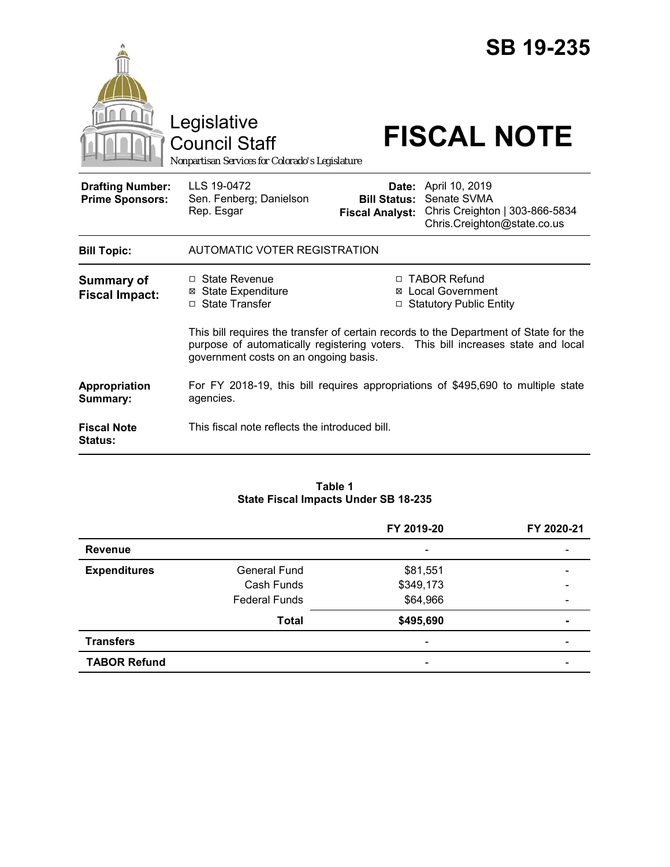|                                                   | Legislative<br><b>Council Staff</b><br>Nonpartisan Services for Colorado's Legislature                     |                                               | <b>SB 19-235</b><br><b>FISCAL NOTE</b>                                                                                                                                                                                                                   |  |
|---------------------------------------------------|------------------------------------------------------------------------------------------------------------|-----------------------------------------------|----------------------------------------------------------------------------------------------------------------------------------------------------------------------------------------------------------------------------------------------------------|--|
| <b>Drafting Number:</b><br><b>Prime Sponsors:</b> | LLS 19-0472<br>Sen. Fenberg; Danielson<br>Rep. Esgar                                                       | <b>Bill Status:</b><br><b>Fiscal Analyst:</b> | Date: April 10, 2019<br>Senate SVMA<br>Chris Creighton   303-866-5834<br>Chris.Creighton@state.co.us                                                                                                                                                     |  |
| <b>Bill Topic:</b>                                | AUTOMATIC VOTER REGISTRATION                                                                               |                                               |                                                                                                                                                                                                                                                          |  |
| <b>Summary of</b><br><b>Fiscal Impact:</b>        | □ State Revenue<br><b>⊠</b> State Expenditure<br>□ State Transfer<br>government costs on an ongoing basis. | ⊠<br>□                                        | □ TABOR Refund<br><b>Local Government</b><br><b>Statutory Public Entity</b><br>This bill requires the transfer of certain records to the Department of State for the<br>purpose of automatically registering voters. This bill increases state and local |  |
| Appropriation<br>Summary:                         | For FY 2018-19, this bill requires appropriations of \$495,690 to multiple state<br>agencies.              |                                               |                                                                                                                                                                                                                                                          |  |
| <b>Fiscal Note</b><br><b>Status:</b>              | This fiscal note reflects the introduced bill.                                                             |                                               |                                                                                                                                                                                                                                                          |  |

#### **Table 1 State Fiscal Impacts Under SB 18-235**

|                     |                      | FY 2019-20               | FY 2020-21               |
|---------------------|----------------------|--------------------------|--------------------------|
| <b>Revenue</b>      |                      | $\overline{\phantom{0}}$ |                          |
| <b>Expenditures</b> | <b>General Fund</b>  | \$81,551                 |                          |
|                     | Cash Funds           | \$349,173                |                          |
|                     | <b>Federal Funds</b> | \$64,966                 | $\overline{\phantom{0}}$ |
|                     | <b>Total</b>         | \$495,690                | -                        |
| <b>Transfers</b>    |                      |                          |                          |
| <b>TABOR Refund</b> |                      | -                        |                          |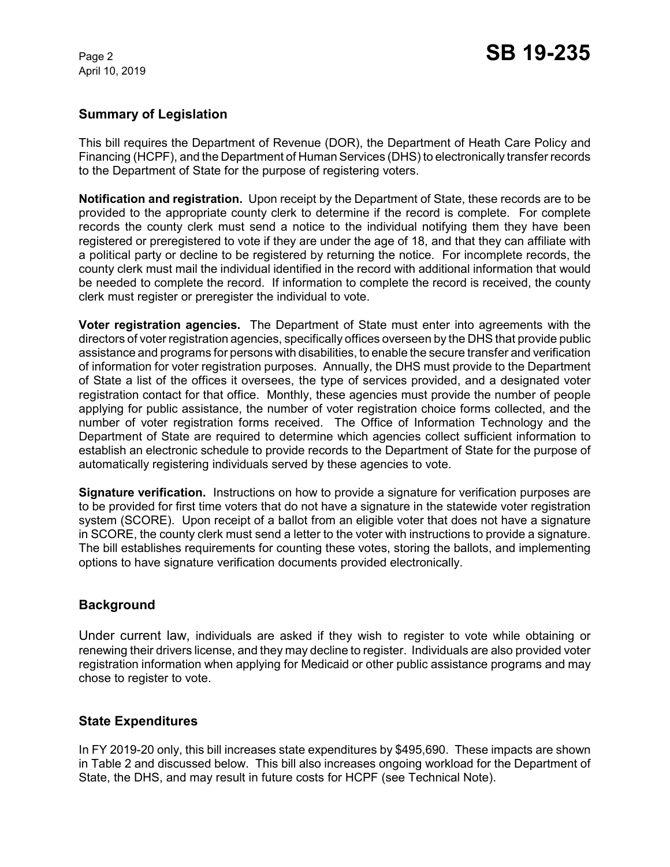April 10, 2019

## **Summary of Legislation**

This bill requires the Department of Revenue (DOR), the Department of Heath Care Policy and Financing (HCPF), and the Department of Human Services (DHS) to electronically transfer records to the Department of State for the purpose of registering voters.

**Notification and registration.** Upon receipt by the Department of State, these records are to be provided to the appropriate county clerk to determine if the record is complete. For complete records the county clerk must send a notice to the individual notifying them they have been registered or preregistered to vote if they are under the age of 18, and that they can affiliate with a political party or decline to be registered by returning the notice. For incomplete records, the county clerk must mail the individual identified in the record with additional information that would be needed to complete the record. If information to complete the record is received, the county clerk must register or preregister the individual to vote.

**Voter registration agencies.** The Department of State must enter into agreements with the directors of voter registration agencies, specifically offices overseen by the DHS that provide public assistance and programs for persons with disabilities, to enable the secure transfer and verification of information for voter registration purposes. Annually, the DHS must provide to the Department of State a list of the offices it oversees, the type of services provided, and a designated voter registration contact for that office. Monthly, these agencies must provide the number of people applying for public assistance, the number of voter registration choice forms collected, and the number of voter registration forms received. The Office of Information Technology and the Department of State are required to determine which agencies collect sufficient information to establish an electronic schedule to provide records to the Department of State for the purpose of automatically registering individuals served by these agencies to vote.

**Signature verification.** Instructions on how to provide a signature for verification purposes are to be provided for first time voters that do not have a signature in the statewide voter registration system (SCORE). Upon receipt of a ballot from an eligible voter that does not have a signature in SCORE, the county clerk must send a letter to the voter with instructions to provide a signature. The bill establishes requirements for counting these votes, storing the ballots, and implementing options to have signature verification documents provided electronically.

# **Background**

Under current law, individuals are asked if they wish to register to vote while obtaining or renewing their drivers license, and they may decline to register. Individuals are also provided voter registration information when applying for Medicaid or other public assistance programs and may chose to register to vote.

### **State Expenditures**

In FY 2019-20 only, this bill increases state expenditures by \$495,690. These impacts are shown in Table 2 and discussed below. This bill also increases ongoing workload for the Department of State, the DHS, and may result in future costs for HCPF (see Technical Note).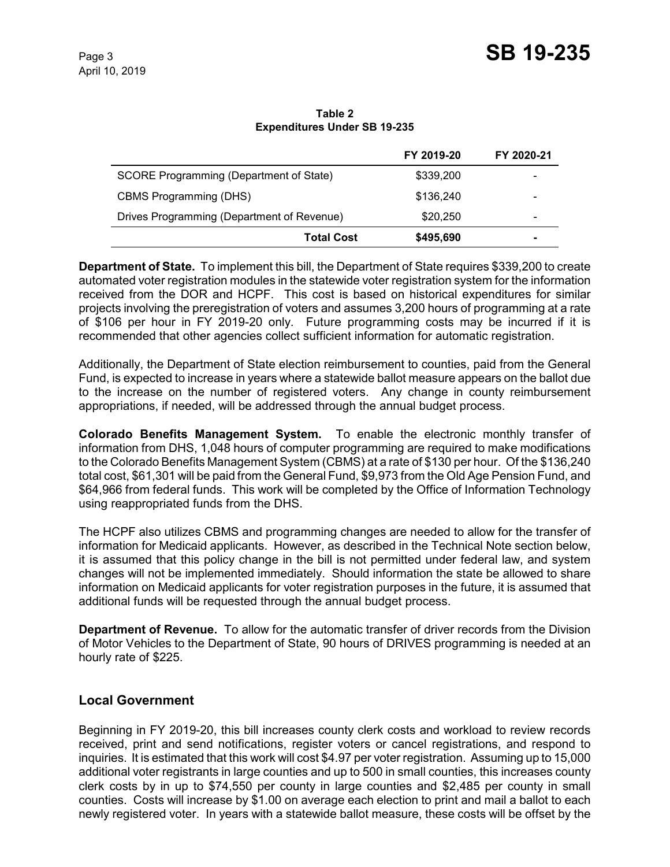**Table 2 Expenditures Under SB 19-235**

|                                            | FY 2019-20 | FY 2020-21               |
|--------------------------------------------|------------|--------------------------|
| SCORE Programming (Department of State)    | \$339,200  | $\overline{\phantom{0}}$ |
| <b>CBMS Programming (DHS)</b>              | \$136,240  | -                        |
| Drives Programming (Department of Revenue) | \$20,250   | -                        |
| <b>Total Cost</b>                          | \$495,690  | -                        |

**Department of State.** To implement this bill, the Department of State requires \$339,200 to create automated voter registration modules in the statewide voter registration system for the information received from the DOR and HCPF. This cost is based on historical expenditures for similar projects involving the preregistration of voters and assumes 3,200 hours of programming at a rate of \$106 per hour in FY 2019-20 only. Future programming costs may be incurred if it is recommended that other agencies collect sufficient information for automatic registration.

Additionally, the Department of State election reimbursement to counties, paid from the General Fund, is expected to increase in years where a statewide ballot measure appears on the ballot due to the increase on the number of registered voters. Any change in county reimbursement appropriations, if needed, will be addressed through the annual budget process.

**Colorado Benefits Management System.** To enable the electronic monthly transfer of information from DHS, 1,048 hours of computer programming are required to make modifications to the Colorado Benefits Management System (CBMS) at a rate of \$130 per hour. Of the \$136,240 total cost, \$61,301 will be paid from the General Fund, \$9,973 from the Old Age Pension Fund, and \$64,966 from federal funds. This work will be completed by the Office of Information Technology using reappropriated funds from the DHS.

The HCPF also utilizes CBMS and programming changes are needed to allow for the transfer of information for Medicaid applicants. However, as described in the Technical Note section below, it is assumed that this policy change in the bill is not permitted under federal law, and system changes will not be implemented immediately. Should information the state be allowed to share information on Medicaid applicants for voter registration purposes in the future, it is assumed that additional funds will be requested through the annual budget process.

**Department of Revenue.** To allow for the automatic transfer of driver records from the Division of Motor Vehicles to the Department of State, 90 hours of DRIVES programming is needed at an hourly rate of \$225.

# **Local Government**

Beginning in FY 2019-20, this bill increases county clerk costs and workload to review records received, print and send notifications, register voters or cancel registrations, and respond to inquiries. It is estimated that this work will cost \$4.97 per voter registration. Assuming up to 15,000 additional voter registrants in large counties and up to 500 in small counties, this increases county clerk costs by in up to \$74,550 per county in large counties and \$2,485 per county in small counties. Costs will increase by \$1.00 on average each election to print and mail a ballot to each newly registered voter. In years with a statewide ballot measure, these costs will be offset by the